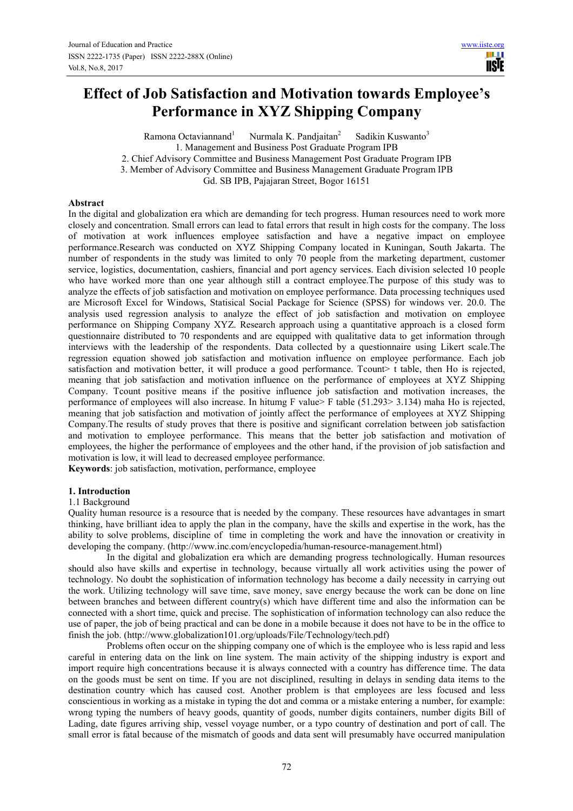**IISE** 

# **Effect of Job Satisfaction and Motivation towards Employee's Performance in XYZ Shipping Company**

Ramona Octaviannand $<sup>1</sup>$ </sup> Nurmala K. Pandjaitan<sup>2</sup> Sadikin Kuswanto<sup>3</sup> 1. Management and Business Post Graduate Program IPB 2. Chief Advisory Committee and Business Management Post Graduate Program IPB 3. Member of Advisory Committee and Business Management Graduate Program IPB Gd. SB IPB, Pajajaran Street, Bogor 16151

#### **Abstract**

In the digital and globalization era which are demanding for tech progress. Human resources need to work more closely and concentration. Small errors can lead to fatal errors that result in high costs for the company. The loss of motivation at work influences employee satisfaction and have a negative impact on employee performance.Research was conducted on XYZ Shipping Company located in Kuningan, South Jakarta. The number of respondents in the study was limited to only 70 people from the marketing department, customer service, logistics, documentation, cashiers, financial and port agency services. Each division selected 10 people who have worked more than one year although still a contract employee.The purpose of this study was to analyze the effects of job satisfaction and motivation on employee performance. Data processing techniques used are Microsoft Excel for Windows, Statisical Social Package for Science (SPSS) for windows ver. 20.0. The analysis used regression analysis to analyze the effect of job satisfaction and motivation on employee performance on Shipping Company XYZ. Research approach using a quantitative approach is a closed form questionnaire distributed to 70 respondents and are equipped with qualitative data to get information through interviews with the leadership of the respondents. Data collected by a questionnaire using Likert scale.The regression equation showed job satisfaction and motivation influence on employee performance. Each job satisfaction and motivation better, it will produce a good performance. Tcount> t table, then Ho is rejected, meaning that job satisfaction and motivation influence on the performance of employees at XYZ Shipping Company. Tcount positive means if the positive influence job satisfaction and motivation increases, the performance of employees will also increase. In hitumg F value> F table (51.293> 3.134) maha Ho is rejected, meaning that job satisfaction and motivation of jointly affect the performance of employees at XYZ Shipping Company.The results of study proves that there is positive and significant correlation between job satisfaction and motivation to employee performance. This means that the better job satisfaction and motivation of employees, the higher the performance of employees and the other hand, if the provision of job satisfaction and motivation is low, it will lead to decreased employee performance.

**Keywords**: job satisfaction, motivation, performance, employee

## **1. Introduction**

#### 1.1 Background

Quality human resource is a resource that is needed by the company. These resources have advantages in smart thinking, have brilliant idea to apply the plan in the company, have the skills and expertise in the work, has the ability to solve problems, discipline of time in completing the work and have the innovation or creativity in developing the company. (http://www.inc.com/encyclopedia/human-resource-management.html)

In the digital and globalization era which are demanding progress technologically. Human resources should also have skills and expertise in technology, because virtually all work activities using the power of technology. No doubt the sophistication of information technology has become a daily necessity in carrying out the work. Utilizing technology will save time, save money, save energy because the work can be done on line between branches and between different country(s) which have different time and also the information can be connected with a short time, quick and precise. The sophistication of information technology can also reduce the use of paper, the job of being practical and can be done in a mobile because it does not have to be in the office to finish the job. (http://www.globalization101.org/uploads/File/Technology/tech.pdf)

Problems often occur on the shipping company one of which is the employee who is less rapid and less careful in entering data on the link on line system. The main activity of the shipping industry is export and import require high concentrations because it is always connected with a country has difference time. The data on the goods must be sent on time. If you are not disciplined, resulting in delays in sending data items to the destination country which has caused cost. Another problem is that employees are less focused and less conscientious in working as a mistake in typing the dot and comma or a mistake entering a number, for example: wrong typing the numbers of heavy goods, quantity of goods, number digits containers, number digits Bill of Lading, date figures arriving ship, vessel voyage number, or a typo country of destination and port of call. The small error is fatal because of the mismatch of goods and data sent will presumably have occurred manipulation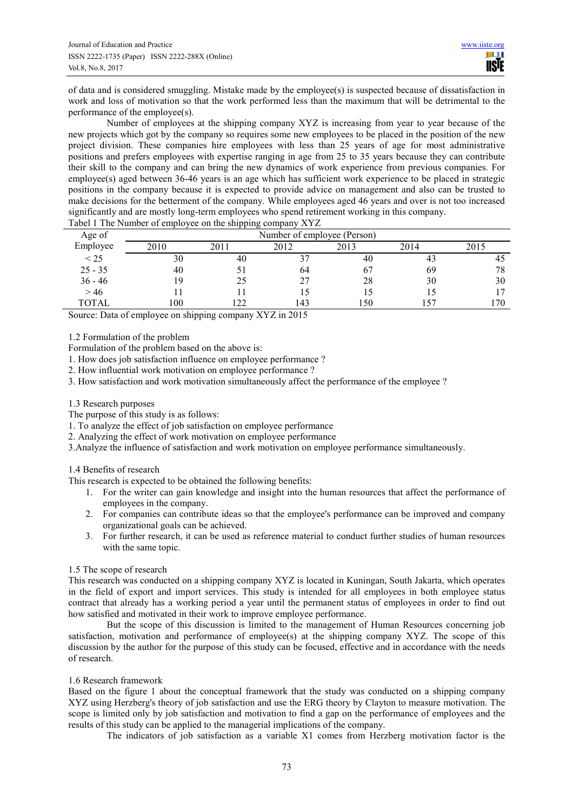of data and is considered smuggling. Mistake made by the employee(s) is suspected because of dissatisfaction in work and loss of motivation so that the work performed less than the maximum that will be detrimental to the performance of the employee(s).

Number of employees at the shipping company XYZ is increasing from year to year because of the new projects which got by the company so requires some new employees to be placed in the position of the new project division. These companies hire employees with less than 25 years of age for most administrative positions and prefers employees with expertise ranging in age from 25 to 35 years because they can contribute their skill to the company and can bring the new dynamics of work experience from previous companies. For employee(s) aged between 36-46 years is an age which has sufficient work experience to be placed in strategic positions in the company because it is expected to provide advice on management and also can be trusted to make decisions for the betterment of the company. While employees aged 46 years and over is not too increased significantly and are mostly long-term employees who spend retirement working in this company.

| Number of employee (Person)<br>Age of                    |     |
|----------------------------------------------------------|-----|
| Employee<br>2012<br>2013<br>2010<br>2011<br>2014<br>2015 |     |
| < 25<br>30<br>40<br>40<br>43                             | 45  |
| $25 - 35$<br>40<br>69<br>6 <sup>7</sup><br>64            | 78  |
| $36 - 46$<br>28<br>30<br>19<br>25                        | 30  |
| >46                                                      |     |
| TOTAL<br>100<br>150<br>22<br>, 57<br>43                  | .70 |

Tabel 1 The Number of employee on the shipping company XYZ

Source: Data of employee on shipping company XYZ in 2015

1.2 Formulation of the problem

Formulation of the problem based on the above is:

1. How does job satisfaction influence on employee performance ?

2. How influential work motivation on employee performance ?

3. How satisfaction and work motivation simultaneously affect the performance of the employee ?

#### 1.3 Research purposes

The purpose of this study is as follows:

1. To analyze the effect of job satisfaction on employee performance

2. Analyzing the effect of work motivation on employee performance

3.Analyze the influence of satisfaction and work motivation on employee performance simultaneously.

#### 1.4 Benefits of research

This research is expected to be obtained the following benefits:

- 1. For the writer can gain knowledge and insight into the human resources that affect the performance of employees in the company.
- 2. For companies can contribute ideas so that the employee's performance can be improved and company organizational goals can be achieved.
- 3. For further research, it can be used as reference material to conduct further studies of human resources with the same topic.

#### 1.5 The scope of research

This research was conducted on a shipping company XYZ is located in Kuningan, South Jakarta, which operates in the field of export and import services. This study is intended for all employees in both employee status contract that already has a working period a year until the permanent status of employees in order to find out how satisfied and motivated in their work to improve employee performance.

But the scope of this discussion is limited to the management of Human Resources concerning job satisfaction, motivation and performance of employee(s) at the shipping company XYZ. The scope of this discussion by the author for the purpose of this study can be focused, effective and in accordance with the needs of research.

#### 1.6 Research framework

Based on the figure 1 about the conceptual framework that the study was conducted on a shipping company XYZ using Herzberg's theory of job satisfaction and use the ERG theory by Clayton to measure motivation. The scope is limited only by job satisfaction and motivation to find a gap on the performance of employees and the results of this study can be applied to the managerial implications of the company.

The indicators of job satisfaction as a variable X1 comes from Herzberg motivation factor is the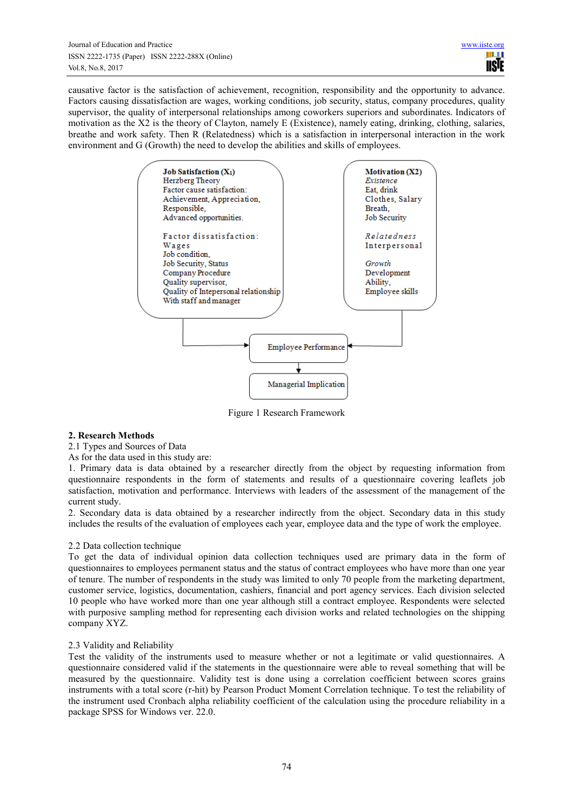causative factor is the satisfaction of achievement, recognition, responsibility and the opportunity to advance. Factors causing dissatisfaction are wages, working conditions, job security, status, company procedures, quality supervisor, the quality of interpersonal relationships among coworkers superiors and subordinates. Indicators of motivation as the X2 is the theory of Clayton, namely E (Existence), namely eating, drinking, clothing, salaries, breathe and work safety. Then R (Relatedness) which is a satisfaction in interpersonal interaction in the work environment and G (Growth) the need to develop the abilities and skills of employees.



Figure 1 Research Framework

## **2. Research Methods**

2.1 Types and Sources of Data

As for the data used in this study are:

1. Primary data is data obtained by a researcher directly from the object by requesting information from questionnaire respondents in the form of statements and results of a questionnaire covering leaflets job satisfaction, motivation and performance. Interviews with leaders of the assessment of the management of the current study.

2. Secondary data is data obtained by a researcher indirectly from the object. Secondary data in this study includes the results of the evaluation of employees each year, employee data and the type of work the employee.

## 2.2 Data collection technique

To get the data of individual opinion data collection techniques used are primary data in the form of questionnaires to employees permanent status and the status of contract employees who have more than one year of tenure. The number of respondents in the study was limited to only 70 people from the marketing department, customer service, logistics, documentation, cashiers, financial and port agency services. Each division selected 10 people who have worked more than one year although still a contract employee. Respondents were selected with purposive sampling method for representing each division works and related technologies on the shipping company XYZ.

## 2.3 Validity and Reliability

Test the validity of the instruments used to measure whether or not a legitimate or valid questionnaires. A questionnaire considered valid if the statements in the questionnaire were able to reveal something that will be measured by the questionnaire. Validity test is done using a correlation coefficient between scores grains instruments with a total score (r-hit) by Pearson Product Moment Correlation technique. To test the reliability of the instrument used Cronbach alpha reliability coefficient of the calculation using the procedure reliability in a package SPSS for Windows ver. 22.0.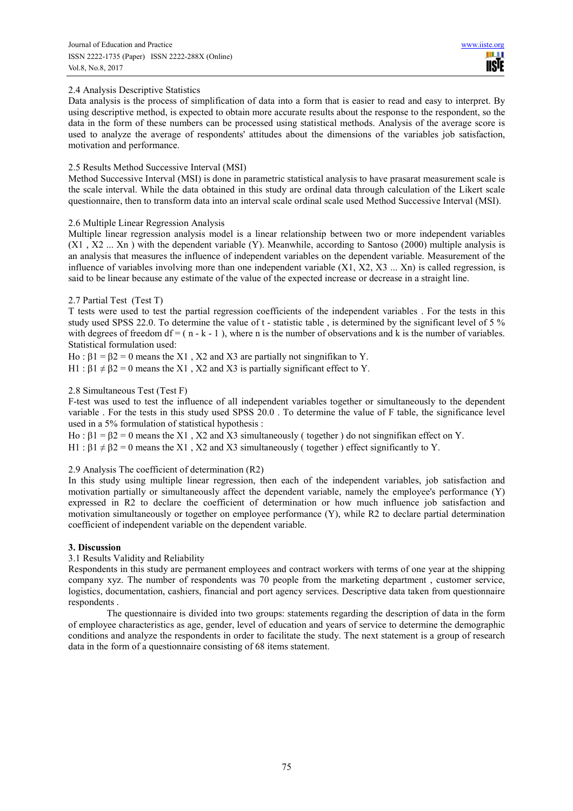# 2.4 Analysis Descriptive Statistics

Data analysis is the process of simplification of data into a form that is easier to read and easy to interpret. By using descriptive method, is expected to obtain more accurate results about the response to the respondent, so the data in the form of these numbers can be processed using statistical methods. Analysis of the average score is used to analyze the average of respondents' attitudes about the dimensions of the variables job satisfaction, motivation and performance.

## 2.5 Results Method Successive Interval (MSI)

Method Successive Interval (MSI) is done in parametric statistical analysis to have prasarat measurement scale is the scale interval. While the data obtained in this study are ordinal data through calculation of the Likert scale questionnaire, then to transform data into an interval scale ordinal scale used Method Successive Interval (MSI).

# 2.6 Multiple Linear Regression Analysis

Multiple linear regression analysis model is a linear relationship between two or more independent variables (X1 , X2 ... Xn ) with the dependent variable (Y). Meanwhile, according to Santoso (2000) multiple analysis is an analysis that measures the influence of independent variables on the dependent variable. Measurement of the influence of variables involving more than one independent variable  $(X1, X2, X3, ... Xn)$  is called regression, is said to be linear because any estimate of the value of the expected increase or decrease in a straight line.

# 2.7 Partial Test (Test T)

T tests were used to test the partial regression coefficients of the independent variables . For the tests in this study used SPSS 22.0. To determine the value of t - statistic table , is determined by the significant level of 5 % with degrees of freedom df =  $(n - k - 1)$ , where n is the number of observations and k is the number of variables. Statistical formulation used:

Ho :  $\beta$ 1 =  $\beta$ 2 = 0 means the X1, X2 and X3 are partially not singnifikan to Y.

H1 :  $\beta$ 1  $\neq$   $\beta$ 2 = 0 means the X1, X2 and X3 is partially significant effect to Y.

# 2.8 Simultaneous Test (Test F)

F-test was used to test the influence of all independent variables together or simultaneously to the dependent variable . For the tests in this study used SPSS 20.0 . To determine the value of F table, the significance level used in a 5% formulation of statistical hypothesis :

Ho :  $β1 = β2 = 0$  means the X1, X2 and X3 simultaneously (together) do not singnifikan effect on Y.

H1 :  $\beta$ 1  $\neq$   $\beta$ 2 = 0 means the X1, X2 and X3 simultaneously (together) effect significantly to Y.

## 2.9 Analysis The coefficient of determination (R2)

In this study using multiple linear regression, then each of the independent variables, job satisfaction and motivation partially or simultaneously affect the dependent variable, namely the employee's performance (Y) expressed in R2 to declare the coefficient of determination or how much influence job satisfaction and motivation simultaneously or together on employee performance (Y), while R2 to declare partial determination coefficient of independent variable on the dependent variable.

## **3. Discussion**

## 3.1 Results Validity and Reliability

Respondents in this study are permanent employees and contract workers with terms of one year at the shipping company xyz. The number of respondents was 70 people from the marketing department , customer service, logistics, documentation, cashiers, financial and port agency services. Descriptive data taken from questionnaire respondents .

The questionnaire is divided into two groups: statements regarding the description of data in the form of employee characteristics as age, gender, level of education and years of service to determine the demographic conditions and analyze the respondents in order to facilitate the study. The next statement is a group of research data in the form of a questionnaire consisting of 68 items statement.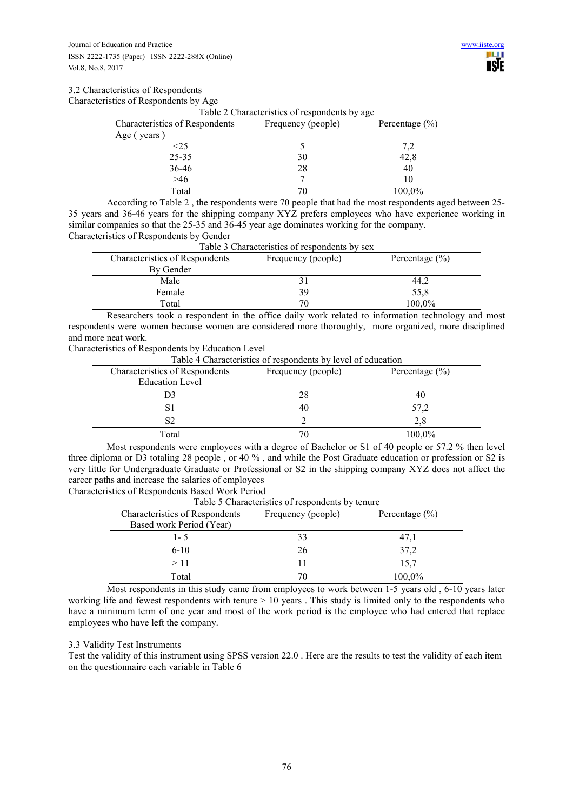#### 3.2 Characteristics of Respondents

Characteristics of Respondents by Age

| Table 2 Characteristics of respondents by age |                    |                    |  |  |
|-----------------------------------------------|--------------------|--------------------|--|--|
| Characteristics of Respondents                | Frequency (people) | Percentage $(\% )$ |  |  |
| Age (years)                                   |                    |                    |  |  |
| <25                                           |                    | 7.2                |  |  |
| $25 - 35$                                     | 30                 | 42,8               |  |  |
| 36-46                                         | 28                 | 40                 |  |  |
| >46                                           |                    | 10                 |  |  |
| Total                                         | 70                 | 100,0%             |  |  |

According to Table 2 , the respondents were 70 people that had the most respondents aged between 25- 35 years and 36-46 years for the shipping company XYZ prefers employees who have experience working in similar companies so that the 25-35 and 36-45 year age dominates working for the company. Characteristics of Respondents by Gender

| Table 3 Characteristics of respondents by sex |                    |                    |  |
|-----------------------------------------------|--------------------|--------------------|--|
| <b>Characteristics of Respondents</b>         | Frequency (people) | Percentage $(\% )$ |  |
| By Gender                                     |                    |                    |  |
| Male                                          |                    | 44,2               |  |
| Female                                        | 39                 | 55,8               |  |
| Total                                         | 70                 | 100,0%             |  |

Researchers took a respondent in the office daily work related to information technology and most respondents were women because women are considered more thoroughly, more organized, more disciplined and more neat work.

Characteristics of Respondents by Education Level

Table 4 Characteristics of respondents by level of education

| Characteristics of Respondents | Frequency (people) | Percentage $(\% )$ |
|--------------------------------|--------------------|--------------------|
| <b>Education Level</b>         |                    |                    |
| D3                             | 28                 | 40                 |
| S1                             | 40                 | 57,2               |
| S2                             |                    | 2,8                |
| Total                          | 70                 | 100,0%             |

Most respondents were employees with a degree of Bachelor or S1 of 40 people or 57.2 % then level three diploma or D3 totaling 28 people , or 40 % , and while the Post Graduate education or profession or S2 is very little for Undergraduate Graduate or Professional or S2 in the shipping company XYZ does not affect the career paths and increase the salaries of employees

Characteristics of Respondents Based Work Period

Table 5 Characteristics of respondents by tenure

| <b>Characteristics of Respondents</b> | Frequency (people) | Percentage $(\% )$ |  |  |
|---------------------------------------|--------------------|--------------------|--|--|
| Based work Period (Year)              |                    |                    |  |  |
| $1 - 5$                               | 33                 | 47,1               |  |  |
| $6 - 10$                              | 26                 | 37,2               |  |  |
| >11                                   | 11                 | 15.7               |  |  |
| Total                                 | 70                 | 100,0%             |  |  |

Most respondents in this study came from employees to work between 1-5 years old , 6-10 years later working life and fewest respondents with tenure  $> 10$  years. This study is limited only to the respondents who have a minimum term of one year and most of the work period is the employee who had entered that replace employees who have left the company.

#### 3.3 Validity Test Instruments

Test the validity of this instrument using SPSS version 22.0 . Here are the results to test the validity of each item on the questionnaire each variable in Table 6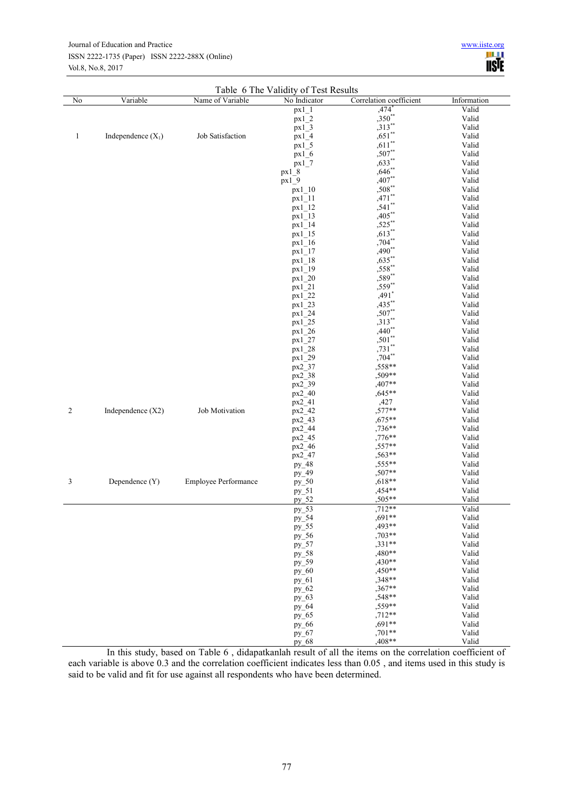#### Journal of Education and Practice ISSN 2222-1735 (Paper) ISSN 2222-288X (Online) Vol.8, No.8, 2017

| ww.iiste.org |
|--------------|
| <b>IISIE</b> |

|                |                      | Name of Variable            | Table 6 The Validity of Test Results<br>No Indicator | Correlation coefficient |                      |
|----------------|----------------------|-----------------------------|------------------------------------------------------|-------------------------|----------------------|
| No             | Variable             |                             |                                                      | $,474$ <sup>*</sup>     | Information<br>Valid |
|                |                      |                             | $px1_1$<br>px12                                      | ,350**                  | Valid                |
|                |                      |                             | $px1_3$                                              | $,313**$                | Valid                |
|                |                      | Job Satisfaction            | px14                                                 | $,651$ **               | Valid                |
| 1              | Independence $(X_1)$ |                             |                                                      | $,611**$                |                      |
|                |                      |                             | px15                                                 | $,507$ **               | Valid                |
|                |                      |                             | px16                                                 |                         | Valid                |
|                |                      |                             | px17                                                 | $,633**$                | Valid                |
|                |                      |                             | $px1_8$                                              | $,646$ **               | Valid                |
|                |                      |                             | $px1-9$                                              | $,407**$                | Valid                |
|                |                      |                             | px1 10                                               | $,508**$                | Valid                |
|                |                      |                             | px11                                                 | $,471$ **               | Valid                |
|                |                      |                             | $px1_12$                                             | $,541$ **               | Valid                |
|                |                      |                             | px1 13                                               | $,405$ **               | Valid                |
|                |                      |                             | $px1_14$                                             | $,525***$               | Valid                |
|                |                      |                             | $px1_15$                                             | $,613**$                | Valid                |
|                |                      |                             | $px1_16$                                             | $,704**$                | Valid                |
|                |                      |                             | $px1_17$                                             | $,490**$                | Valid                |
|                |                      |                             | $px1_18$                                             | $,635$ **               | Valid                |
|                |                      |                             | $px1_19$                                             | ,558**                  | Valid                |
|                |                      |                             | px1 20                                               | $,589**$                | Valid                |
|                |                      |                             | px1 21                                               | ,559**                  | Valid                |
|                |                      |                             | px1 22                                               | $,491*$                 | Valid                |
|                |                      |                             | px1 23                                               | $,435***$               | Valid                |
|                |                      |                             | px1 24                                               | $,507**$                | Valid                |
|                |                      |                             | px1 25                                               | $,313**$                | Valid                |
|                |                      |                             | px1 26                                               | $,440**$                | Valid                |
|                |                      |                             | $px1_27$                                             | $,501**$                | Valid                |
|                |                      |                             | $px1_28$                                             | $,731**$                | Valid                |
|                |                      |                             | $px1_29$                                             | $,704$ **               | Valid                |
|                |                      |                             | px2_37                                               | ,558**                  | Valid                |
|                |                      |                             | px2_38                                               | ,509**                  | Valid                |
|                |                      |                             | px2_39                                               | $,407**$                | Valid                |
|                |                      |                             | px2 40                                               | $,645**$                | Valid                |
|                |                      |                             |                                                      |                         | Valid                |
| $\overline{2}$ |                      | Job Motivation              | $px2_{-}41$                                          | ,427<br>,577**          |                      |
|                | Independence $(X2)$  |                             | px2_42                                               |                         | Valid                |
|                |                      |                             | $px2_43$                                             | $,675**$                | Valid                |
|                |                      |                             | px2_44                                               | ,736**                  | Valid                |
|                |                      |                             | px2_45                                               | ,776**                  | Valid                |
|                |                      |                             | $px2_46$                                             | $,557**$                | Valid                |
|                |                      |                             | $px2_{-}47$                                          | ,563**                  | Valid                |
|                |                      |                             | $py_48$                                              | ,555**                  | Valid                |
|                |                      |                             | py_49                                                | ,507**                  | Valid                |
| 3              | Dependence (Y)       | <b>Employee Performance</b> | $py_50$                                              | $,618**$                | Valid                |
|                |                      |                             | $py_51$                                              | ,454**                  | Valid                |
|                |                      |                             | $py_52$                                              | ,505**                  | Valid                |
|                |                      |                             | $py_53$                                              | $,712**$                | Valid                |
|                |                      |                             | py_54                                                | ,691**                  | Valid                |
|                |                      |                             | $py_55$                                              | ,493**                  | Valid                |
|                |                      |                             | $py_56$                                              | ,703**                  | Valid                |
|                |                      |                             | py_57                                                | $,331**$                | Valid                |
|                |                      |                             | $py_58$                                              | ,480**                  | Valid                |
|                |                      |                             | $py_59$                                              | ,430**                  | Valid                |
|                |                      |                             | $py_60$                                              | ,450**                  | Valid                |
|                |                      |                             | $py_61$                                              | $,348**$                | Valid                |
|                |                      |                             | py_62                                                | ,367**                  | Valid                |
|                |                      |                             | $py_63$                                              | $,548**$                | Valid                |
|                |                      |                             | $py_64$                                              | $,559**$                | Valid                |
|                |                      |                             | py_65                                                | $,712**$                | Valid                |
|                |                      |                             | $py_66$                                              | $,691**$                | Valid                |
|                |                      |                             | py_67                                                | ,701**                  | Valid                |
|                |                      |                             | py_68                                                | ,408**                  | Valid                |

In this study, based on Table 6 , didapatkanlah result of all the items on the correlation coefficient of each variable is above 0.3 and the correlation coefficient indicates less than 0.05 , and items used in this study is said to be valid and fit for use against all respondents who have been determined.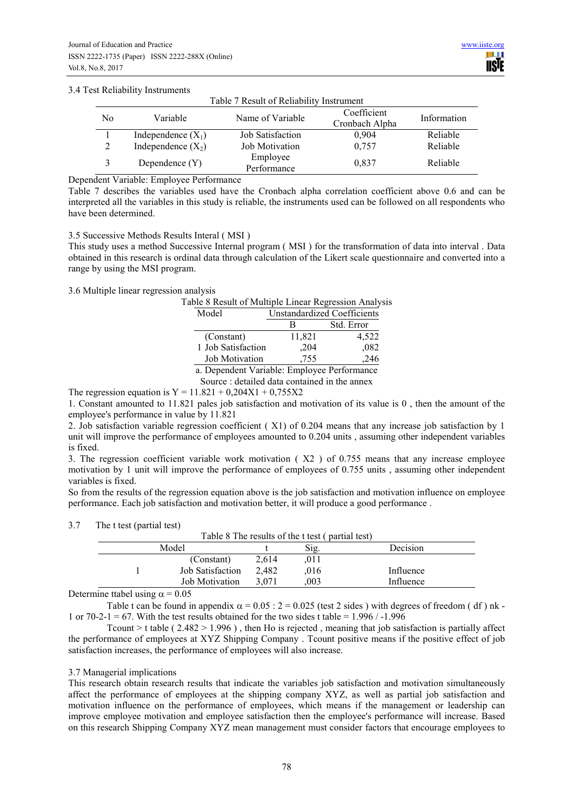## 3.4 Test Reliability Instruments

|                | Table 7 Result of Reliability Instrument |                         |                               |             |  |
|----------------|------------------------------------------|-------------------------|-------------------------------|-------------|--|
| N <sub>0</sub> | Variable                                 | Name of Variable        | Coefficient<br>Cronbach Alpha | Information |  |
|                | Independence $(X_1)$                     | <b>Job Satisfaction</b> | 0.904                         | Reliable    |  |
| 2              | Independence $(X_2)$                     | <b>Job Motivation</b>   | 0,757                         | Reliable    |  |
| 3              | Dependence $(Y)$                         | Employee<br>Performance | 0,837                         | Reliable    |  |

Dependent Variable: Employee Performance

Table 7 describes the variables used have the Cronbach alpha correlation coefficient above 0.6 and can be interpreted all the variables in this study is reliable, the instruments used can be followed on all respondents who have been determined.

#### 3.5 Successive Methods Results Interal ( MSI )

This study uses a method Successive Internal program ( MSI ) for the transformation of data into interval . Data obtained in this research is ordinal data through calculation of the Likert scale questionnaire and converted into a range by using the MSI program.

## 3.6 Multiple linear regression analysis

Table 8 Result of Multiple Linear Regression Analysis

| Model                                      | <b>Unstandardized Coefficients</b> |            |  |
|--------------------------------------------|------------------------------------|------------|--|
|                                            | в                                  | Std. Error |  |
| (Constant)                                 | 11,821                             | 4,522      |  |
| 1 Job Satisfaction                         | .204                               | .082       |  |
| <b>Job Motivation</b>                      | ,755                               | .246       |  |
| a Dependent Variable: Employee Performance |                                    |            |  |

a. Dependent Variable: Employee Performance Source : detailed data contained in the annex

The regression equation is  $Y = 11.821 + 0.204X1 + 0.755X2$ 

1. Constant amounted to 11.821 pales job satisfaction and motivation of its value is 0 , then the amount of the employee's performance in value by 11.821

2. Job satisfaction variable regression coefficient ( X1) of 0.204 means that any increase job satisfaction by 1 unit will improve the performance of employees amounted to 0.204 units , assuming other independent variables is fixed.

3. The regression coefficient variable work motivation ( X2 ) of 0.755 means that any increase employee motivation by 1 unit will improve the performance of employees of 0.755 units , assuming other independent variables is fixed.

So from the results of the regression equation above is the job satisfaction and motivation influence on employee performance. Each job satisfaction and motivation better, it will produce a good performance .

#### 3.7 The t test (partial test)

| THE CROCEDULIUS ROLL                             |                         |       |      |           |  |  |
|--------------------------------------------------|-------------------------|-------|------|-----------|--|--|
| Table 8 The results of the t test (partial test) |                         |       |      |           |  |  |
| Model<br>Sig.<br>Decision                        |                         |       |      |           |  |  |
|                                                  | (Constant)              | 2.614 | .011 |           |  |  |
|                                                  | <b>Job Satisfaction</b> | 2.482 | .016 | Influence |  |  |
|                                                  | <b>Job Motivation</b>   | 3.071 | .003 | Influence |  |  |

Determine ttabel using  $\alpha$  = 0.05

Table t can be found in appendix  $\alpha = 0.05$  : 2 = 0.025 (test 2 sides) with degrees of freedom ( df) nk -1 or 70-2-1 = 67. With the test results obtained for the two sides t table =  $1.996 / -1.996$ 

Tcount > t table ( $2.482 > 1.996$ ), then Ho is rejected, meaning that job satisfaction is partially affect the performance of employees at XYZ Shipping Company . Tcount positive means if the positive effect of job satisfaction increases, the performance of employees will also increase.

## 3.7 Managerial implications

This research obtain research results that indicate the variables job satisfaction and motivation simultaneously affect the performance of employees at the shipping company XYZ, as well as partial job satisfaction and motivation influence on the performance of employees, which means if the management or leadership can improve employee motivation and employee satisfaction then the employee's performance will increase. Based on this research Shipping Company XYZ mean management must consider factors that encourage employees to